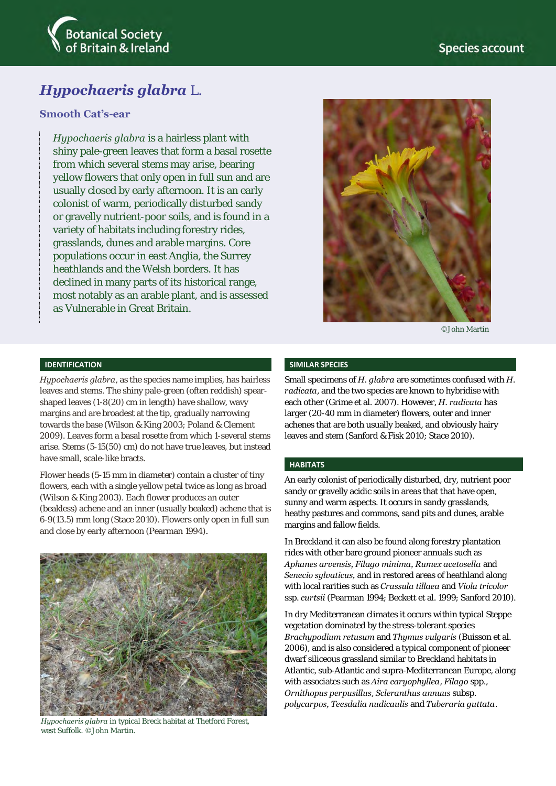

# *Hypochaeris glabra* L.

## **Smooth Cat's-ear**

*Hypochaeris glabra* is a hairless plant with shiny pale-green leaves that form a basal rosette from which several stems may arise, bearing yellow flowers that only open in full sun and are usually closed by early afternoon. It is an early colonist of warm, periodically disturbed sandy or gravelly nutrient-poor soils, and is found in a variety of habitats including forestry rides, grasslands, dunes and arable margins. Core populations occur in east Anglia, the Surrey heathlands and the Welsh borders. It has declined in many parts of its historical range, most notably as an arable plant, and is assessed as Vulnerable in Great Britain.



©John Martin

## **IDENTIFICATION**

*Hypochaeris glabra*, as the species name implies, has hairless leaves and stems. The shiny pale-green (often reddish) spearshaped leaves (1-8(20) cm in length) have shallow, wavy margins and are broadest at the tip, gradually narrowing towards the base (Wilson & King 2003; Poland & Clement 2009). Leaves form a basal rosette from which 1-several stems arise. Stems (5-15(50) cm) do not have true leaves, but instead have small, scale-like bracts.

Flower heads (5-15 mm in diameter) contain a cluster of tiny flowers, each with a single yellow petal twice as long as broad (Wilson & King 2003). Each flower produces an outer (beakless) achene and an inner (usually beaked) achene that is 6-9(13.5) mm long (Stace 2010). Flowers only open in full sun and close by early afternoon (Pearman 1994).



*Hypochaeris glabra* in typical Breck habitat at Thetford Forest, west Suffolk. ©John Martin.

#### **SIMILAR SPECIES**

Small specimens of *H. glabra* are sometimes confused with *H. radicata*, and the two species are known to hybridise with each other (Grime et al. 2007). However, *H. radicata* has larger (20-40 mm in diameter) flowers, outer and inner achenes that are both usually beaked, and obviously hairy leaves and stem (Sanford & Fisk 2010; Stace 2010).

#### **HABITATS**

An early colonist of periodically disturbed, dry, nutrient poor sandy or gravelly acidic soils in areas that that have open, sunny and warm aspects. It occurs in sandy grasslands, heathy pastures and commons, sand pits and dunes, arable margins and fallow fields.

In Breckland it can also be found along forestry plantation rides with other bare ground pioneer annuals such as *Aphanes arvensis, Filago minima, Rumex acetosella* and *Senecio sylvaticus,* and in restored areas of heathland along with local rarities such as *Crassula tillaea* and *Viola tricolor* ssp. *curtsii* (Pearman 1994; Beckett et al. 1999; Sanford 2010).

In dry Mediterranean climates it occurs within typical Steppe vegetation dominated by the stress-tolerant species *Brachypodium retusum* and *Thymus vulgaris* (Buisson et al. 2006), and is also considered a typical component of pioneer dwarf siliceous grassland similar to Breckland habitats in Atlantic, sub-Atlantic and supra-Mediterranean Europe, along with associates such as *Aira caryophyllea*, *Filago* spp., *Ornithopus perpusillus*, *Scleranthus annuus* subsp. *polycarpos, Teesdalia nudicaulis* and *Tuberaria guttata*.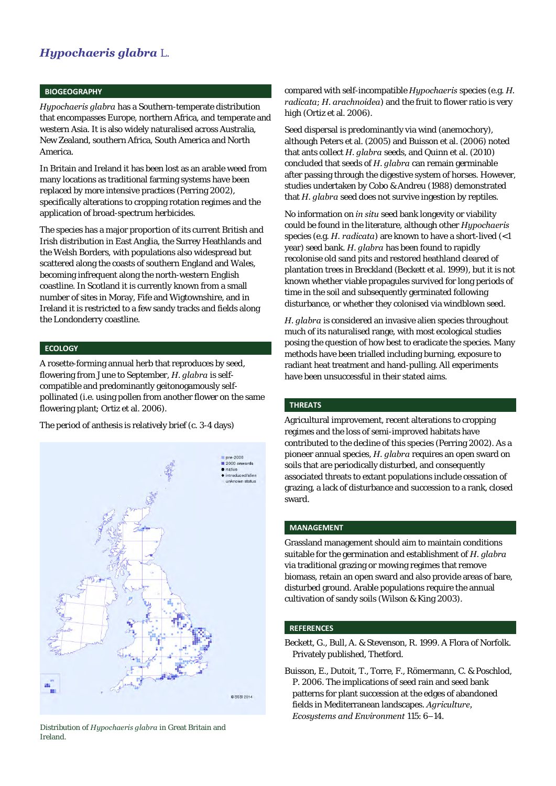## *Hypochaeris glabra* L.

#### **BIOGEOGRAPHY**

*Hypochaeris glabra* has a Southern-temperate distribution that encompasses Europe, northern Africa, and temperate and western Asia. It is also widely naturalised across Australia, New Zealand, southern Africa, South America and North America.

In Britain and Ireland it has been lost as an arable weed from many locations as traditional farming systems have been replaced by more intensive practices (Perring 2002), specifically alterations to cropping rotation regimes and the application of broad-spectrum herbicides.

The species has a major proportion of its current British and Irish distribution in East Anglia, the Surrey Heathlands and the Welsh Borders, with populations also widespread but scattered along the coasts of southern England and Wales, becoming infrequent along the north-western English coastline. In Scotland it is currently known from a small number of sites in Moray, Fife and Wigtownshire, and in Ireland it is restricted to a few sandy tracks and fields along the Londonderry coastline.

#### **ECOLOGY**

A rosette-forming annual herb that reproduces by seed, flowering from June to September, *H. glabra* is selfcompatible and predominantly geitonogamously selfpollinated (i.e. using pollen from another flower on the same flowering plant; Ortiz et al. 2006).

The period of anthesis is relatively brief (c. 3-4 days)



Distribution of *Hypochaeris glabra* in Great Britain and Ireland.

compared with self-incompatible *Hypochaeris* species (e.g. *H. radicata*; *H. arachnoidea*) and the fruit to flower ratio is very high (Ortiz et al. 2006).

Seed dispersal is predominantly via wind (anemochory), although Peters et al. (2005) and Buisson et al. (2006) noted that ants collect *H. glabra* seeds, and Quinn et al. (2010) concluded that seeds of *H. glabra* can remain germinable after passing through the digestive system of horses. However, studies undertaken by Cobo & Andreu (1988) demonstrated that *H. glabra* seed does not survive ingestion by reptiles.

No information on *in situ* seed bank longevity or viability could be found in the literature, although other *Hypochaeris* species (e.g. *H. radicata*) are known to have a short-lived (<1 year) seed bank. *H. glabra* has been found to rapidly recolonise old sand pits and restored heathland cleared of plantation trees in Breckland (Beckett et al. 1999), but it is not known whether viable propagules survived for long periods of time in the soil and subsequently germinated following disturbance, or whether they colonised via windblown seed.

*H. glabra* is considered an invasive alien species throughout much of its naturalised range, with most ecological studies posing the question of how best to eradicate the species. Many methods have been trialled including burning, exposure to radiant heat treatment and hand-pulling. All experiments have been unsuccessful in their stated aims.

#### **THREATS**

Agricultural improvement, recent alterations to cropping regimes and the loss of semi-improved habitats have contributed to the decline of this species (Perring 2002). As a pioneer annual species, *H. glabra* requires an open sward on soils that are periodically disturbed, and consequently associated threats to extant populations include cessation of grazing, a lack of disturbance and succession to a rank, closed sward.

#### **MANAGEMENT**

Grassland management should aim to maintain conditions suitable for the germination and establishment of *H. glabra* via traditional grazing or mowing regimes that remove biomass, retain an open sward and also provide areas of bare, disturbed ground. Arable populations require the annual cultivation of sandy soils (Wilson & King 2003).

### **REFERENCES**

- Beckett, G., Bull, A. & Stevenson, R. 1999. A Flora of Norfolk. Privately published, Thetford.
- Buisson, E., Dutoit, T., Torre, F., Römermann, C. & Poschlod, P. 2006. The implications of seed rain and seed bank patterns for plant succession at the edges of abandoned fields in Mediterranean landscapes. *Agriculture, Ecosystems and Environment* 115: 6–14.